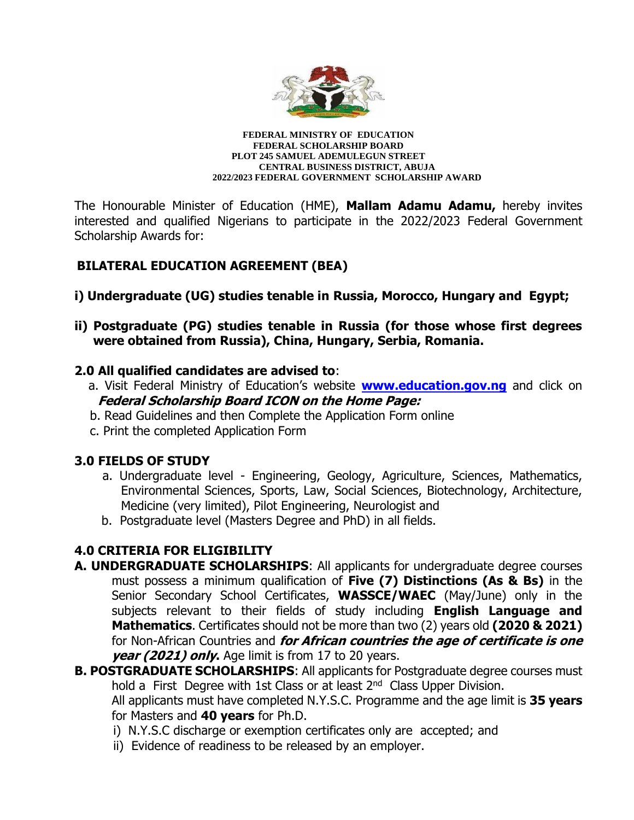

**FEDERAL MINISTRY OF EDUCATION FEDERAL SCHOLARSHIP BOARD PLOT 245 SAMUEL ADEMULEGUN STREET CENTRAL BUSINESS DISTRICT, ABUJA 2022/2023 FEDERAL GOVERNMENT SCHOLARSHIP AWARD**

The Honourable Minister of Education (HME), **Mallam Adamu Adamu,** hereby invites interested and qualified Nigerians to participate in the 2022/2023 Federal Government Scholarship Awards for:

## **BILATERAL EDUCATION AGREEMENT (BEA)**

- **i) Undergraduate (UG) studies tenable in Russia, Morocco, Hungary and Egypt;**
- **ii) Postgraduate (PG) studies tenable in Russia (for those whose first degrees were obtained from Russia), China, Hungary, Serbia, Romania.**

#### **2.0 All qualified candidates are advised to**:

- a. Visit Federal Ministry of Education's website **[www.education.gov.ng](http://www.education.gov.ng/)** and click on **Federal Scholarship Board ICON on the Home Page:**
- b. Read Guidelines and then Complete the Application Form online
- c. Print the completed Application Form

#### **3.0 FIELDS OF STUDY**

- a. Undergraduate level Engineering, Geology, Agriculture, Sciences, Mathematics, Environmental Sciences, Sports, Law, Social Sciences, Biotechnology, Architecture, Medicine (very limited), Pilot Engineering, Neurologist and
- b. Postgraduate level (Masters Degree and PhD) in all fields.

## **4.0 CRITERIA FOR ELIGIBILITY**

- **A. UNDERGRADUATE SCHOLARSHIPS**: All applicants for undergraduate degree courses must possess a minimum qualification of **Five (7) Distinctions (As & Bs)** in the Senior Secondary School Certificates, **WASSCE/WAEC** (May/June) only in the subjects relevant to their fields of study including **English Language and Mathematics**. Certificates should not be more than two (2) years old **(2020 & 2021)** for Non-African Countries and **for African countries the age of certificate is one year (2021) only.** Age limit is from 17 to 20 years.
- **B. POSTGRADUATE SCHOLARSHIPS**: All applicants for Postgraduate degree courses must hold a First Degree with 1st Class or at least 2<sup>nd</sup> Class Upper Division.

All applicants must have completed N.Y.S.C. Programme and the age limit is **35 years** for Masters and **40 years** for Ph.D.

- i) N.Y.S.C discharge or exemption certificates only are accepted; and
- ii) Evidence of readiness to be released by an employer.